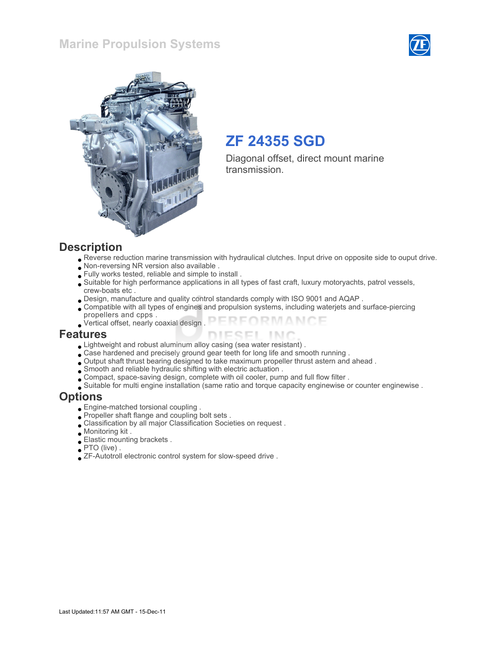### Marine Propulsion Systems





## ZF 24355 SGD

Diagonal offset, direct mount marine transmission.

#### **Description**

- Reverse reduction marine transmission with hydraulical clutches. Input drive on opposite side to ouput drive.
- Non-reversing NR version also available .
- Fully works tested, reliable and simple to install .
- Suitable for high performance applications in all types of fast craft, luxury motoryachts, patrol vessels, crew-boats etc .
- Design, manufacture and quality control standards comply with ISO 9001 and AQAP .
- Compatible with all types of engines and propulsion systems, including waterjets and surface-piercing propellers and cpps .
- FORMANCE Vertical offset, nearly coaxial design .

#### Features

- Lightweight and robust aluminum alloy casing (sea water resistant) .
- Case hardened and precisely ground gear teeth for long life and smooth running .
- Output shaft thrust bearing designed to take maximum propeller thrust astern and ahead .
- Smooth and reliable hydraulic shifting with electric actuation .
- Compact, space-saving design, complete with oil cooler, pump and full flow filter .
- Suitable for multi engine installation (same ratio and torque capacity enginewise or counter enginewise .

#### **Options**

- Engine-matched torsional coupling .
- Propeller shaft flange and coupling bolt sets .
- Classification by all major Classification Societies on request .
- Monitoring kit .
- Elastic mounting brackets .
- PTO (live) .
- ZF-Autotroll electronic control system for slow-speed drive .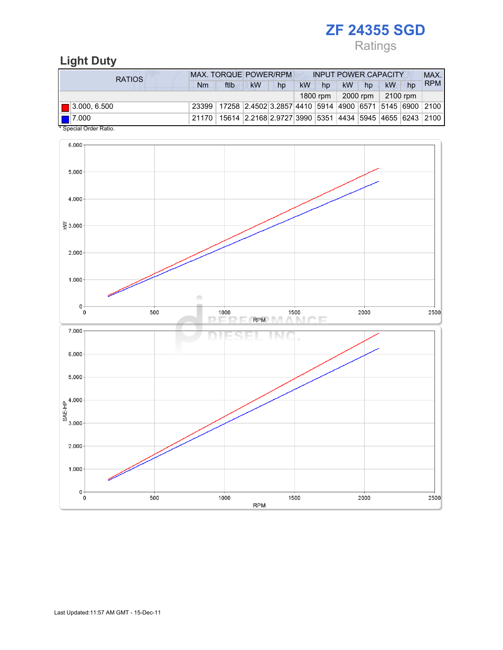Ratings

## Light Duty

| RATIOS                                            | <b>MAX. TORQUE POWER/RPM</b> |                                                                                |                                                        |    | <b>INPUT POWER CAPACITY</b> |          |           |          |          |    | MAX.       |  |
|---------------------------------------------------|------------------------------|--------------------------------------------------------------------------------|--------------------------------------------------------|----|-----------------------------|----------|-----------|----------|----------|----|------------|--|
|                                                   | Nm                           | ftlb                                                                           | <b>kW</b>                                              | hp | <b>kW</b>                   | hp       | <b>kW</b> | hp       | kW       | hp | <b>RPM</b> |  |
|                                                   |                              |                                                                                |                                                        |    |                             | 1800 rpm |           | 2000 rpm | 2100 rpm |    |            |  |
| $\blacksquare$ 3.000, 6.500                       |                              | 23399   17258   2.4502 3.2857   4410   5914   4900   6571   5145   6900   2100 |                                                        |    |                             |          |           |          |          |    |            |  |
| $\blacksquare$ 7.000<br>$*$ Consider Order Detter | 21170                        |                                                                                | 15614 2.2168 2.9727 3990 5351 4434 5945 4655 6243 2100 |    |                             |          |           |          |          |    |            |  |

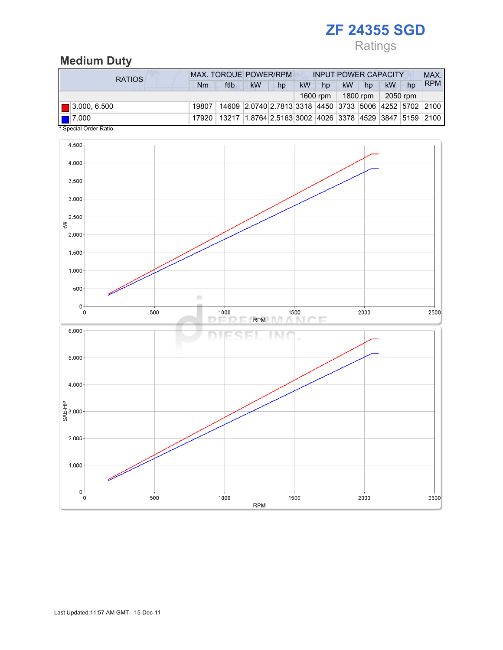## Ratings

## Medium Duty

| <b>RATIOS</b>                                  | <b>MAX. TORQUE POWER/RPM</b><br><b>INPUT POWER CAPACITY</b> |                                                                |                                                        |    |           |          |           |          |    |          | MAX.       |
|------------------------------------------------|-------------------------------------------------------------|----------------------------------------------------------------|--------------------------------------------------------|----|-----------|----------|-----------|----------|----|----------|------------|
|                                                | Nm                                                          | ftlb                                                           | <b>kW</b>                                              | hp | <b>kW</b> | hp       | <b>kW</b> | hp       | kW | hp       | <b>RPM</b> |
|                                                |                                                             |                                                                |                                                        |    |           | 1600 rpm |           | 1800 rpm |    | 2050 rpm |            |
| $\blacksquare$ 3.000, 6.500                    | 19807                                                       |                                                                | 14609 2.0740 2.7813 3318 4450 3733 5006 4252 5702 2100 |    |           |          |           |          |    |          |            |
| $\blacksquare$ 7.000<br>* Ossaial Osslas Datis | 17920                                                       | 13217  1.8764 2.5163 3002  4026  3378  4529  3847  5159   2100 |                                                        |    |           |          |           |          |    |          |            |

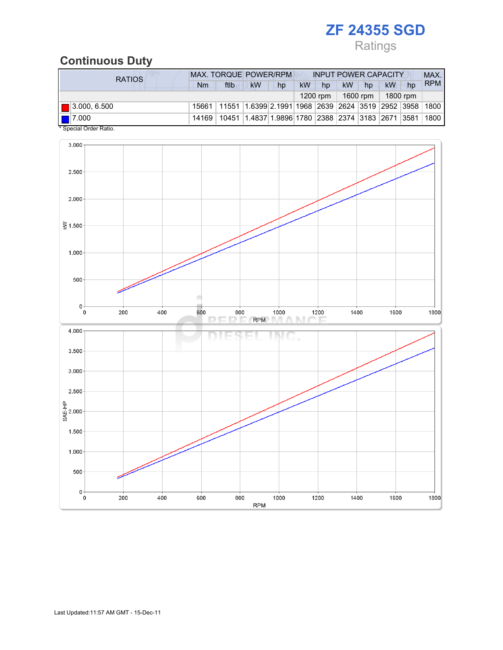## Ratings

## Continuous Duty

| <b>RATIOS</b>                                     | <b>MAX. TORQUE POWER/RPM</b><br><b>INPUT POWER CAPACITY</b> |                                                                                  |                                                                         |    |           |          |    |          |          |    | MAX.       |
|---------------------------------------------------|-------------------------------------------------------------|----------------------------------------------------------------------------------|-------------------------------------------------------------------------|----|-----------|----------|----|----------|----------|----|------------|
|                                                   | Nm                                                          | ftlb                                                                             | <b>kW</b>                                                               | hp | <b>kW</b> | hp       | kW | hp       | kW       | hp | <b>RPM</b> |
|                                                   |                                                             |                                                                                  |                                                                         |    |           | 1200 rpm |    | 1600 rpm | 1800 rpm |    |            |
| $\blacksquare$ 3.000, 6.500                       |                                                             | 15661   11551   1.6399   2.1991   1968   2639   2624   3519   2952   3958   1800 |                                                                         |    |           |          |    |          |          |    |            |
| $\blacksquare$ 7.000<br>$*$ Consider Order Detter | 14169                                                       |                                                                                  | 10451  1.4837   1.9896   1780   2388   2374   3183   2671   3581   1800 |    |           |          |    |          |          |    |            |

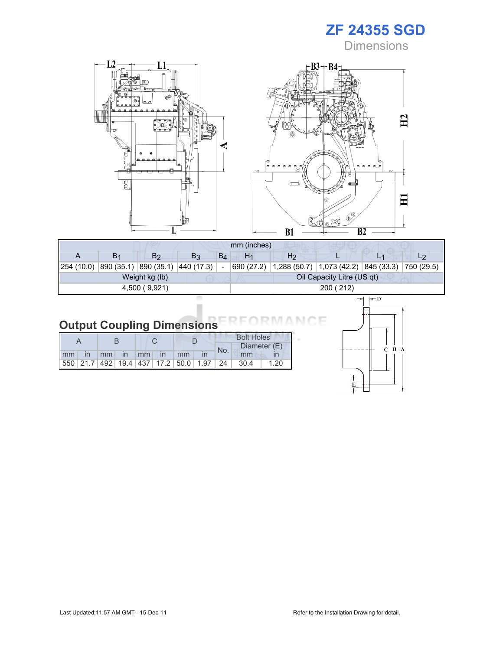**Dimensions** 



| mm (inches)    |                |                                    |                |       |                |                |                                                                    |         |  |  |  |
|----------------|----------------|------------------------------------|----------------|-------|----------------|----------------|--------------------------------------------------------------------|---------|--|--|--|
|                | B <sub>1</sub> | B <sub>2</sub>                     | B <sub>3</sub> | $B_4$ | H <sub>1</sub> | H <sub>2</sub> |                                                                    |         |  |  |  |
| 254 (10.0)     |                | 890 (35.1)  890 (35.1)  440 (17.3) |                |       |                |                | 690 (27.2)   1,288 (50.7)   1,073 (42.2)   845 (33.3)   750 (29.5) |         |  |  |  |
| Weight kg (lb) |                |                                    |                |       |                |                | Oil Capacity Litre (US qt)                                         |         |  |  |  |
| 4,500 (9,921)  |                |                                    |                |       | 200 (212)      |                |                                                                    |         |  |  |  |
|                |                |                                    |                |       |                |                |                                                                    | l-chili |  |  |  |

## Output Coupling Dimensions

|    |    |               |                   |              |                                                         | <b>Bolt Holes</b> |              |      |  |  |
|----|----|---------------|-------------------|--------------|---------------------------------------------------------|-------------------|--------------|------|--|--|
|    |    |               |                   |              |                                                         | No.               | Diameter (E) |      |  |  |
| mm | mm | $\mathsf{In}$ | $\blacksquare$ mm | $\mathsf{I}$ | mm                                                      |                   | mm           |      |  |  |
|    |    |               |                   |              | 550   21.7   492   19.4   437   17.2   50.0   1.97   24 |                   | 30.4         | 1.20 |  |  |